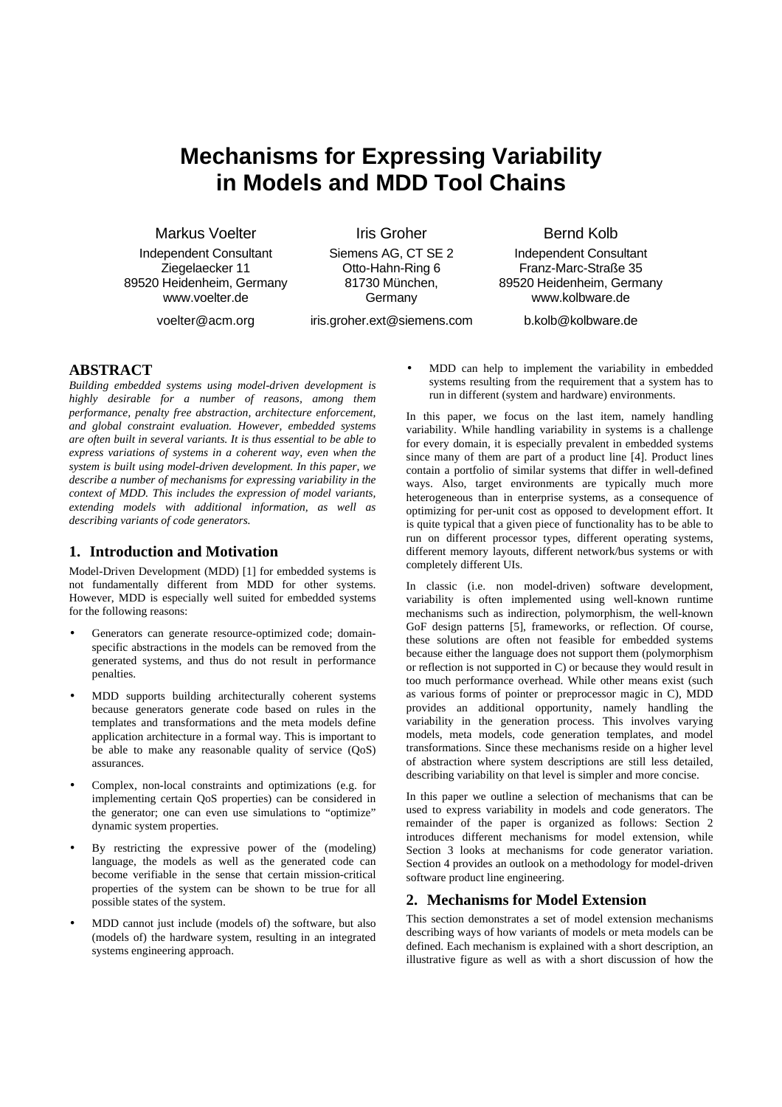# **Mechanisms for Expressing Variability in Models and MDD Tool Chains**

Markus Voelter

Independent Consultant Ziegelaecker 11 89520 Heidenheim, Germany www.voelter.de

voelter@acm.org

Iris Groher Siemens AG, CT SE 2

Otto-Hahn-Ring 6 81730 München, Germany

iris.groher.ext@siemens.com

Bernd Kolb

Independent Consultant Franz-Marc-Straße 35 89520 Heidenheim, Germany www.kolbware.de

b.kolb@kolbware.de

## **ABSTRACT**

*Building embedded systems using model-driven development is highly desirable for a number of reasons, among them performance, penalty free abstraction, architecture enforcement, and global constraint evaluation. However, embedded systems are often built in several variants. It is thus essential to be able to express variations of systems in a coherent way, even when the system is built using model-driven development. In this paper, we describe a number of mechanisms for expressing variability in the context of MDD. This includes the expression of model variants, extending models with additional information, as well as describing variants of code generators.* 

#### **1. Introduction and Motivation**

Model-Driven Development (MDD) [1] for embedded systems is not fundamentally different from MDD for other systems. However, MDD is especially well suited for embedded systems for the following reasons:

- Generators can generate resource-optimized code; domainspecific abstractions in the models can be removed from the generated systems, and thus do not result in performance penalties.
- MDD supports building architecturally coherent systems because generators generate code based on rules in the templates and transformations and the meta models define application architecture in a formal way. This is important to be able to make any reasonable quality of service (QoS) assurances.
- Complex, non-local constraints and optimizations (e.g. for implementing certain QoS properties) can be considered in the generator; one can even use simulations to "optimize" dynamic system properties.
- By restricting the expressive power of the (modeling) language, the models as well as the generated code can become verifiable in the sense that certain mission-critical properties of the system can be shown to be true for all possible states of the system.
- MDD cannot just include (models of) the software, but also (models of) the hardware system, resulting in an integrated systems engineering approach.

• MDD can help to implement the variability in embedded systems resulting from the requirement that a system has to run in different (system and hardware) environments.

In this paper, we focus on the last item, namely handling variability. While handling variability in systems is a challenge for every domain, it is especially prevalent in embedded systems since many of them are part of a product line [4]. Product lines contain a portfolio of similar systems that differ in well-defined ways. Also, target environments are typically much more heterogeneous than in enterprise systems, as a consequence of optimizing for per-unit cost as opposed to development effort. It is quite typical that a given piece of functionality has to be able to run on different processor types, different operating systems, different memory layouts, different network/bus systems or with completely different UIs.

In classic (i.e. non model-driven) software development, variability is often implemented using well-known runtime mechanisms such as indirection, polymorphism, the well-known GoF design patterns [5], frameworks, or reflection. Of course, these solutions are often not feasible for embedded systems because either the language does not support them (polymorphism or reflection is not supported in C) or because they would result in too much performance overhead. While other means exist (such as various forms of pointer or preprocessor magic in C), MDD provides an additional opportunity, namely handling the variability in the generation process. This involves varying models, meta models, code generation templates, and model transformations. Since these mechanisms reside on a higher level of abstraction where system descriptions are still less detailed, describing variability on that level is simpler and more concise.

In this paper we outline a selection of mechanisms that can be used to express variability in models and code generators. The remainder of the paper is organized as follows: Section 2 introduces different mechanisms for model extension, while Section 3 looks at mechanisms for code generator variation. Section 4 provides an outlook on a methodology for model-driven software product line engineering.

# **2. Mechanisms for Model Extension**

This section demonstrates a set of model extension mechanisms describing ways of how variants of models or meta models can be defined. Each mechanism is explained with a short description, an illustrative figure as well as with a short discussion of how the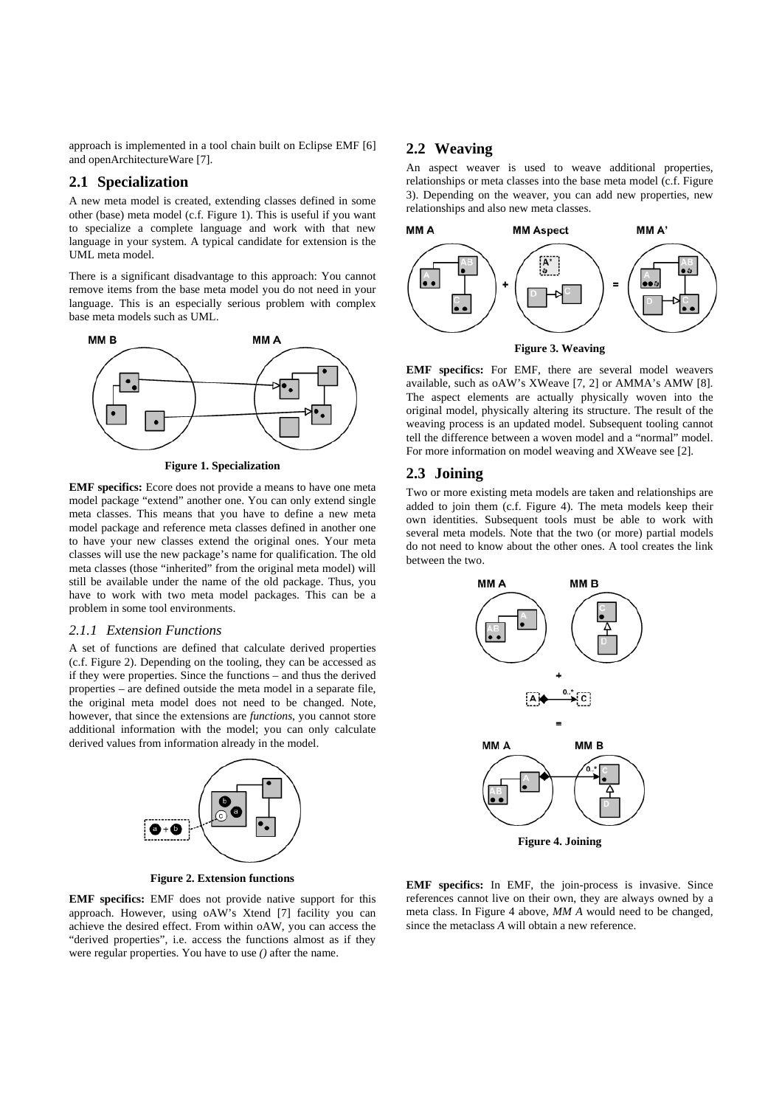approach is implemented in a tool chain built on Eclipse EMF [6] and openArchitectureWare [7].

#### **2.1 Specialization**

A new meta model is created, extending classes defined in some other (base) meta model (c.f. Figure 1). This is useful if you want to specialize a complete language and work with that new language in your system. A typical candidate for extension is the UML meta model.

There is a significant disadvantage to this approach: You cannot remove items from the base meta model you do not need in your language. This is an especially serious problem with complex base meta models such as UML.



**Figure 1. Specialization** 

**EMF specifics:** Ecore does not provide a means to have one meta model package "extend" another one. You can only extend single meta classes. This means that you have to define a new meta model package and reference meta classes defined in another one to have your new classes extend the original ones. Your meta classes will use the new package's name for qualification. The old meta classes (those "inherited" from the original meta model) will still be available under the name of the old package. Thus, you have to work with two meta model packages. This can be a problem in some tool environments.

#### *2.1.1 Extension Functions*

A set of functions are defined that calculate derived properties (c.f. Figure 2). Depending on the tooling, they can be accessed as if they were properties. Since the functions – and thus the derived properties – are defined outside the meta model in a separate file, the original meta model does not need to be changed. Note, however, that since the extensions are *functions*, you cannot store additional information with the model; you can only calculate derived values from information already in the model.



**Figure 2. Extension functions** 

**EMF specifics:** EMF does not provide native support for this approach. However, using oAW's Xtend [7] facility you can achieve the desired effect. From within oAW, you can access the "derived properties", i.e. access the functions almost as if they were regular properties. You have to use *()* after the name.

### **2.2 Weaving**

An aspect weaver is used to weave additional properties, relationships or meta classes into the base meta model (c.f. Figure 3). Depending on the weaver, you can add new properties, new relationships and also new meta classes.





**EMF specifics:** For EMF, there are several model weavers available, such as oAW's XWeave [7, 2] or AMMA's AMW [8]. The aspect elements are actually physically woven into the original model, physically altering its structure. The result of the weaving process is an updated model. Subsequent tooling cannot tell the difference between a woven model and a "normal" model. For more information on model weaving and XWeave see [2].

#### **2.3 Joining**

Two or more existing meta models are taken and relationships are added to join them (c.f. Figure 4). The meta models keep their own identities. Subsequent tools must be able to work with several meta models. Note that the two (or more) partial models do not need to know about the other ones. A tool creates the link between the two.



**EMF specifics:** In EMF, the join-process is invasive. Since references cannot live on their own, they are always owned by a meta class. In Figure 4 above, *MM A* would need to be changed, since the metaclass *A* will obtain a new reference.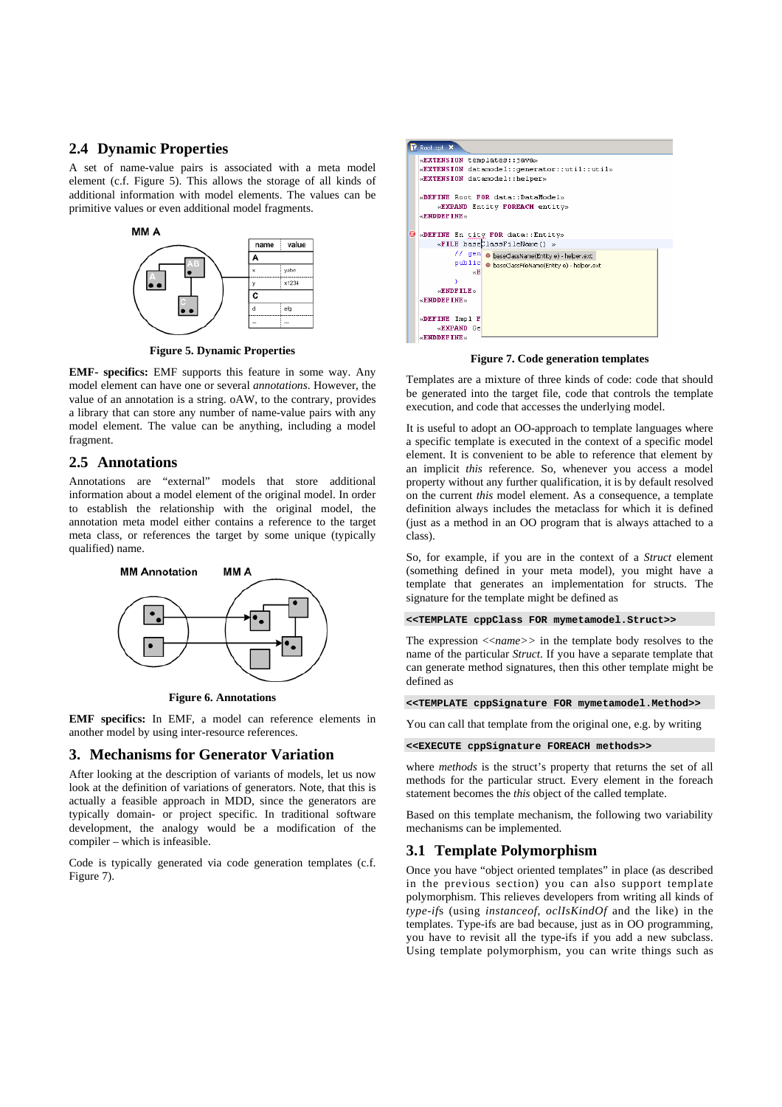#### **2.4 Dynamic Properties**

A set of name-value pairs is associated with a meta model element (c.f. Figure 5). This allows the storage of all kinds of additional information with model elements. The values can be primitive values or even additional model fragments.



**Figure 5. Dynamic Properties** 

**EMF- specifics:** EMF supports this feature in some way. Any model element can have one or several *annotations*. However, the value of an annotation is a string. oAW, to the contrary, provides a library that can store any number of name-value pairs with any model element. The value can be anything, including a model fragment.

#### **2.5 Annotations**

Annotations are "external" models that store additional information about a model element of the original model. In order to establish the relationship with the original model, the annotation meta model either contains a reference to the target meta class, or references the target by some unique (typically qualified) name.



**Figure 6. Annotations**

**EMF specifics:** In EMF, a model can reference elements in another model by using inter-resource references.

#### **3. Mechanisms for Generator Variation**

After looking at the description of variants of models, let us now look at the definition of variations of generators. Note, that this is actually a feasible approach in MDD, since the generators are typically domain- or project specific. In traditional software development, the analogy would be a modification of the compiler – which is infeasible.

Code is typically generated via code generation templates (c.f. Figure 7).

|   | $P$ Root.xpt $X$                                                                                                                                       |
|---|--------------------------------------------------------------------------------------------------------------------------------------------------------|
|   | «EXTENSION templates::java»<br>«EXTENSION datamodel:: cenerator:: util:: util»<br>«EXTENSION datamodel::helper»<br>«DEFINE Root FOR data::DataModel»   |
| O | «EXPAND Entity FOREACH entity»<br>$\alpha$ ENDDEFTNE $\infty$<br>«DEFINE En tity FOR data::Entity»<br>«FILE baseClassFileName() »                      |
|   | // gen . baseClassName(Entity e) - helper.ext<br>public   e baseClassFileName(Entity e) - helper.ext<br>«Ε<br>$\alpha$ ENDFTLE $\infty$<br>«ENDDEFINE» |
|   | «DEFINE Impl F<br>«EXPAND Ge<br>$\alpha$ ENDDEFTNE $\infty$                                                                                            |

**Figure 7. Code generation templates** 

Templates are a mixture of three kinds of code: code that should be generated into the target file, code that controls the template execution, and code that accesses the underlying model.

It is useful to adopt an OO-approach to template languages where a specific template is executed in the context of a specific model element. It is convenient to be able to reference that element by an implicit *this* reference. So, whenever you access a model property without any further qualification, it is by default resolved on the current *this* model element. As a consequence, a template definition always includes the metaclass for which it is defined (just as a method in an OO program that is always attached to a class).

So, for example, if you are in the context of a *Struct* element (something defined in your meta model), you might have a template that generates an implementation for structs. The signature for the template might be defined as

**<<TEMPLATE cppClass FOR mymetamodel.Struct>>** 

The expression <<*name>>* in the template body resolves to the name of the particular *Struct*. If you have a separate template that can generate method signatures, then this other template might be defined as

**<<TEMPLATE cppSignature FOR mymetamodel.Method>>** 

You can call that template from the original one, e.g. by writing

**<<EXECUTE cppSignature FOREACH methods>>** 

where *methods* is the struct's property that returns the set of all methods for the particular struct. Every element in the foreach statement becomes the *this* object of the called template.

Based on this template mechanism, the following two variability mechanisms can be implemented.

#### **3.1 Template Polymorphism**

Once you have "object oriented templates" in place (as described in the previous section) you can also support template polymorphism. This relieves developers from writing all kinds of *type-if*s (using *instanceof*, *oclIsKindOf* and the like) in the templates. Type-ifs are bad because, just as in OO programming, you have to revisit all the type-ifs if you add a new subclass. Using template polymorphism, you can write things such as